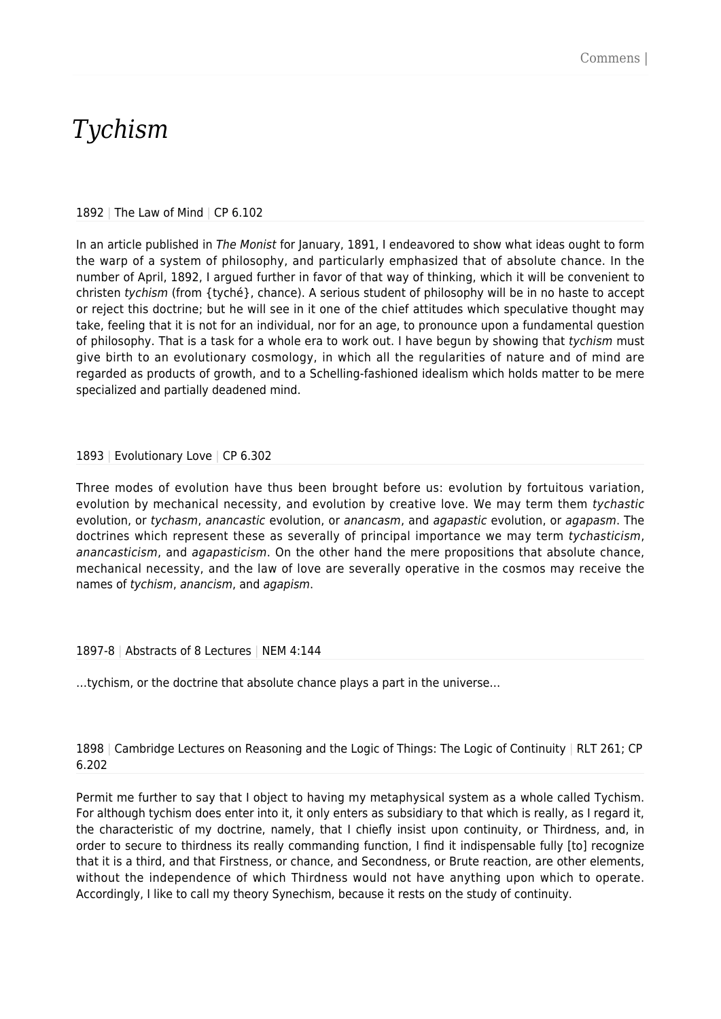# *Tychism*

## 1892 | The Law of Mind | CP 6.102

In an article published in The Monist for January, 1891, I endeavored to show what ideas ought to form the warp of a system of philosophy, and particularly emphasized that of absolute chance. In the number of April, 1892, I argued further in favor of that way of thinking, which it will be convenient to christen tychism (from {tyché}, chance). A serious student of philosophy will be in no haste to accept or reject this doctrine; but he will see in it one of the chief attitudes which speculative thought may take, feeling that it is not for an individual, nor for an age, to pronounce upon a fundamental question of philosophy. That is a task for a whole era to work out. I have begun by showing that tychism must give birth to an evolutionary cosmology, in which all the regularities of nature and of mind are regarded as products of growth, and to a Schelling-fashioned idealism which holds matter to be mere specialized and partially deadened mind.

## 1893 | Evolutionary Love | CP 6.302

Three modes of evolution have thus been brought before us: evolution by fortuitous variation, evolution by mechanical necessity, and evolution by creative love. We may term them tychastic evolution, or tychasm, anancastic evolution, or anancasm, and agapastic evolution, or agapasm. The doctrines which represent these as severally of principal importance we may term tychasticism, anancasticism, and agapasticism. On the other hand the mere propositions that absolute chance, mechanical necessity, and the law of love are severally operative in the cosmos may receive the names of tychism, anancism, and agapism.

## 1897-8 | Abstracts of 8 Lectures | NEM 4:144

…tychism, or the doctrine that absolute chance plays a part in the universe…

1898 | Cambridge Lectures on Reasoning and the Logic of Things: The Logic of Continuity | RLT 261; CP 6.202

Permit me further to say that I object to having my metaphysical system as a whole called Tychism. For although tychism does enter into it, it only enters as subsidiary to that which is really, as I regard it, the characteristic of my doctrine, namely, that I chiefly insist upon continuity, or Thirdness, and, in order to secure to thirdness its really commanding function, I find it indispensable fully [to] recognize that it is a third, and that Firstness, or chance, and Secondness, or Brute reaction, are other elements, without the independence of which Thirdness would not have anything upon which to operate. Accordingly, I like to call my theory Synechism, because it rests on the study of continuity.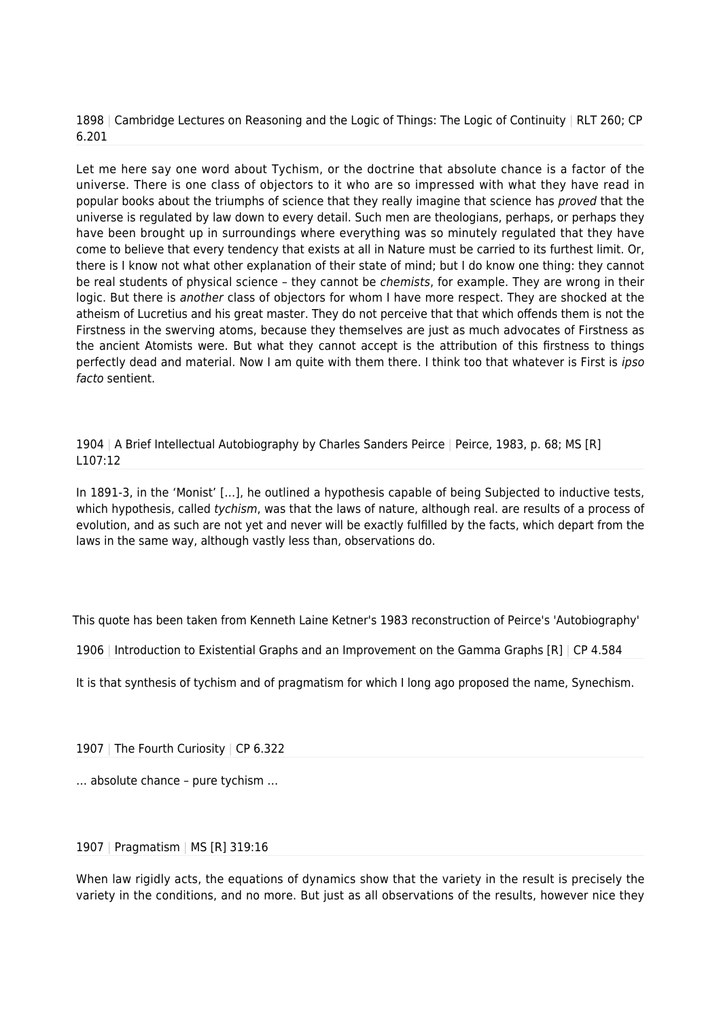1898 | Cambridge Lectures on Reasoning and the Logic of Things: The Logic of Continuity | RLT 260; CP 6.201

Let me here say one word about Tychism, or the doctrine that absolute chance is a factor of the universe. There is one class of objectors to it who are so impressed with what they have read in popular books about the triumphs of science that they really imagine that science has proved that the universe is regulated by law down to every detail. Such men are theologians, perhaps, or perhaps they have been brought up in surroundings where everything was so minutely regulated that they have come to believe that every tendency that exists at all in Nature must be carried to its furthest limit. Or, there is I know not what other explanation of their state of mind; but I do know one thing: they cannot be real students of physical science - they cannot be *chemists*, for example. They are wrong in their logic. But there is another class of objectors for whom I have more respect. They are shocked at the atheism of Lucretius and his great master. They do not perceive that that which offends them is not the Firstness in the swerving atoms, because they themselves are just as much advocates of Firstness as the ancient Atomists were. But what they cannot accept is the attribution of this firstness to things perfectly dead and material. Now I am quite with them there. I think too that whatever is First is ipso facto sentient.

1904 | A Brief Intellectual Autobiography by Charles Sanders Peirce | Peirce, 1983, p. 68; MS [R] L107:12

In 1891-3, in the 'Monist' […], he outlined a hypothesis capable of being Subjected to inductive tests, which hypothesis, called tychism, was that the laws of nature, although real. are results of a process of evolution, and as such are not yet and never will be exactly fulfilled by the facts, which depart from the laws in the same way, although vastly less than, observations do.

This quote has been taken from Kenneth Laine Ketner's 1983 reconstruction of Peirce's 'Autobiography'

1906 | Introduction to Existential Graphs and an Improvement on the Gamma Graphs [R] | CP 4.584

It is that synthesis of tychism and of pragmatism for which I long ago proposed the name, Synechism.

1907 | The Fourth Curiosity | CP 6.322

… absolute chance – pure tychism …

### 1907 | Pragmatism | MS [R] 319:16

When law rigidly acts, the equations of dynamics show that the variety in the result is precisely the variety in the conditions, and no more. But just as all observations of the results, however nice they